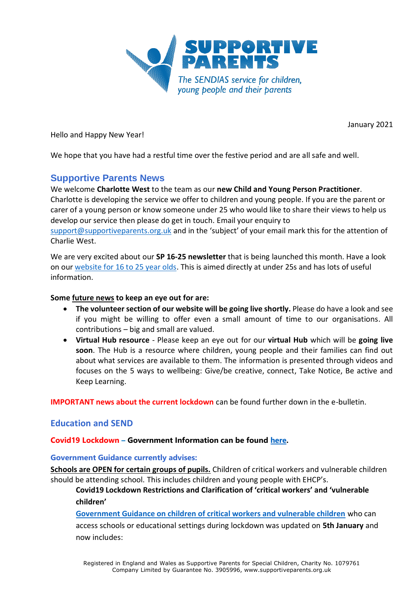

January 2021

Hello and Happy New Year!

We hope that you have had a restful time over the festive period and are all safe and well.

# **Supportive Parents News**

### We welcome **Charlotte West** to the team as our **new Child and Young Person Practitioner**.

Charlotte is developing the service we offer to children and young people. If you are the parent or carer of a young person or know someone under 25 who would like to share their views to help us develop our service then please do get in touch. Email your enquiry to

[support@supportiveparents.org.uk](mailto:support@supportiveparents.org.uk) and in the 'subject' of your email mark this for the attention of Charlie West.

We are very excited about our **SP 16-25 newsletter** that is being launched this month. Have a look on our [website for 16 to 25 year olds.](https://www.supportiveparents.org.uk/youth-matters-sp-16-25-news-january-2021/) This is aimed directly at under 25s and has lots of useful information.

#### **Some future news to keep an eye out for are:**

- **The volunteer section of our website will be going live shortly.** Please do have a look and see if you might be willing to offer even a small amount of time to our organisations. All contributions – big and small are valued.
- **Virtual Hub resource** Please keep an eye out for our **virtual Hub** which will be **going live soon**. The Hub is a resource where children, young people and their families can find out about what services are available to them. The information is presented through videos and focuses on the 5 ways to wellbeing: Give/be creative, connect, Take Notice, Be active and Keep Learning.

**IMPORTANT news about the current lockdown** can be found further down in the e-bulletin.

# **Education and SEND**

#### **Covid19 Lockdown – Government Information can be found [here.](https://www.gov.uk/guidance/national-lockdown-stay-at-home)**

#### **Government Guidance currently advises:**

**Schools are OPEN for certain groups of pupils.** Children of critical workers and vulnerable children should be attending school. This includes children and young people with EHCP's.

**Covid19 Lockdown Restrictions and Clarification of 'critical workers' and 'vulnerable children'**

**[Government Guidance on children of critical workers and vulnerable children](https://www.gov.uk/government/publications/coronavirus-covid-19-maintaining-educational-provision/guidance-for-schools-colleges-and-local-authorities-on-maintaining-educational-provision)** who can access schools or educational settings during lockdown was updated on **5th January** and now includes: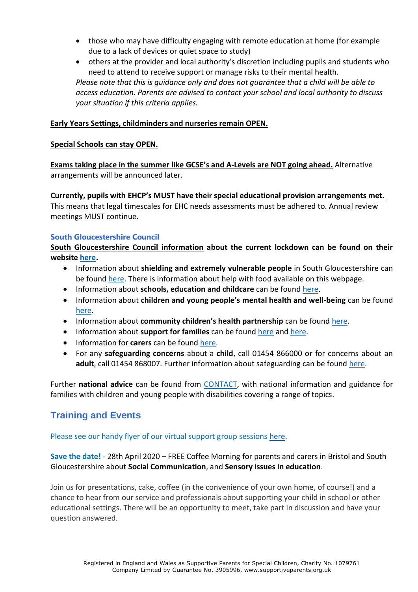those who may have difficulty engaging with remote education at home (for example due to a lack of devices or quiet space to study)

 others at the provider and local authority's discretion including pupils and students who need to attend to receive support or manage risks to their mental health. *Please note that this is guidance only and does not guarantee that a child will be able to access education. Parents are advised to contact your school and local authority to discuss your situation if this criteria applies.*

## **Early Years Settings, childminders and nurseries remain OPEN.**

### **Special Schools can stay OPEN.**

**Exams taking place in the summer like GCSE's and A-Levels are NOT going ahead.** Alternative arrangements will be announced later.

**Currently, pupils with EHCP's MUST have their special educational provision arrangements met.** 

This means that legal timescales for EHC needs assessments must be adhered to. Annual review meetings MUST continue.

### **South Gloucestershire Council**

**South Gloucestershire Council information about the current lockdown can be found on their website [here.](https://beta.southglos.gov.uk/covid-19-dashboard-for-south-gloucestershire/)**

- Information about **shielding and extremely vulnerable people** in South Gloucestershire can be found [here.](https://beta.southglos.gov.uk/vulnerable-residents/#mcetoc_1e616h1os12) There is information about help with food available on this webpage.
- Information about **schools, education and childcare** can be found [here.](https://beta.southglos.gov.uk/education-resources/)
- Information about **children and young people's mental health and well-being** can be found [here.](https://beta.southglos.gov.uk/education-resources/#mcetoc_1e57snb5065)
- Information about **community children's health partnership** can be found [here.](https://beta.southglos.gov.uk/education-resources/#mcetoc_1e57snb5065)
- Information about **support for families** can be found [here](https://beta.southglos.gov.uk/education-resources/#mcetoc_1e57snb5065) and [here.](https://find-information-for-adults-children-families.southglos.gov.uk/kb5/southglos/directory/home.page)
- Information for **carers** can be found [here.](https://beta.southglos.gov.uk/information-for-carers/)
- For any **safeguarding concerns** about a **child**, call 01454 866000 or for concerns about an **adult**, call 01454 868007. Further information about safeguarding can be found [here.](http://sites.southglos.gov.uk/safeguarding/children/)

Further **national advice** can be found from [CONTACT,](https://contact.org.uk/advice-and-support/covid-19/) with national information and guidance for families with children and young people with disabilities covering a range of topics.

# **Training and Events**

# Please see our handy flyer of our virtual support group sessions [here.](https://www.supportiveparents.org.uk/south-gloucestershire-2021-events/)

# **Save the date!** - 28th April 2020 – FREE Coffee Morning for parents and carers in Bristol and South Gloucestershire about **Social Communication**, and **Sensory issues in education**.

Join us for presentations, cake, coffee (in the convenience of your own home, of course!) and a chance to hear from our service and professionals about supporting your child in school or other educational settings. There will be an opportunity to meet, take part in discussion and have your question answered.